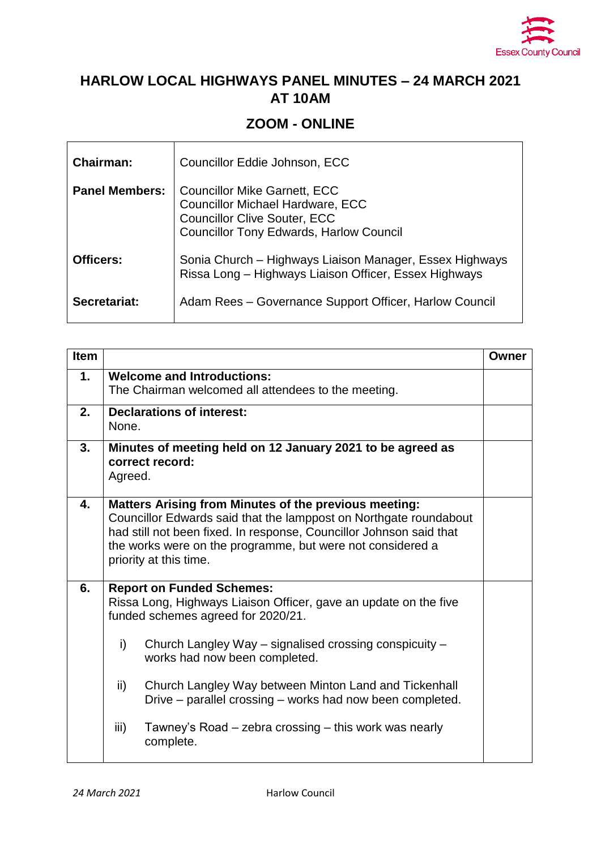

## **HARLOW LOCAL HIGHWAYS PANEL MINUTES – 24 MARCH 2021 AT 10AM**

## **ZOOM - ONLINE**

| <b>Chairman:</b>      | Councillor Eddie Johnson, ECC                                                                                                                                           |
|-----------------------|-------------------------------------------------------------------------------------------------------------------------------------------------------------------------|
| <b>Panel Members:</b> | <b>Councillor Mike Garnett, ECC</b><br><b>Councillor Michael Hardware, ECC</b><br><b>Councillor Clive Souter, ECC</b><br><b>Councillor Tony Edwards, Harlow Council</b> |
| Officers:             | Sonia Church – Highways Liaison Manager, Essex Highways<br>Rissa Long - Highways Liaison Officer, Essex Highways                                                        |
| Secretariat:          | Adam Rees - Governance Support Officer, Harlow Council                                                                                                                  |

| <b>Item</b> |                                                                                                                                                                                                                                                                                                                                                                                                                                                        | Owner |  |
|-------------|--------------------------------------------------------------------------------------------------------------------------------------------------------------------------------------------------------------------------------------------------------------------------------------------------------------------------------------------------------------------------------------------------------------------------------------------------------|-------|--|
| 1.          | <b>Welcome and Introductions:</b><br>The Chairman welcomed all attendees to the meeting.                                                                                                                                                                                                                                                                                                                                                               |       |  |
| 2.          | <b>Declarations of interest:</b><br>None.                                                                                                                                                                                                                                                                                                                                                                                                              |       |  |
| 3.          | Minutes of meeting held on 12 January 2021 to be agreed as<br>correct record:<br>Agreed.                                                                                                                                                                                                                                                                                                                                                               |       |  |
| 4.          | <b>Matters Arising from Minutes of the previous meeting:</b><br>Councillor Edwards said that the lamppost on Northgate roundabout<br>had still not been fixed. In response, Councillor Johnson said that<br>the works were on the programme, but were not considered a<br>priority at this time.                                                                                                                                                       |       |  |
| 6.          | <b>Report on Funded Schemes:</b><br>Rissa Long, Highways Liaison Officer, gave an update on the five<br>funded schemes agreed for 2020/21.<br>i)<br>Church Langley Way – signalised crossing conspicuity –<br>works had now been completed.<br>ii)<br>Church Langley Way between Minton Land and Tickenhall<br>Drive – parallel crossing – works had now been completed.<br>iii)<br>Tawney's Road – zebra crossing – this work was nearly<br>complete. |       |  |

.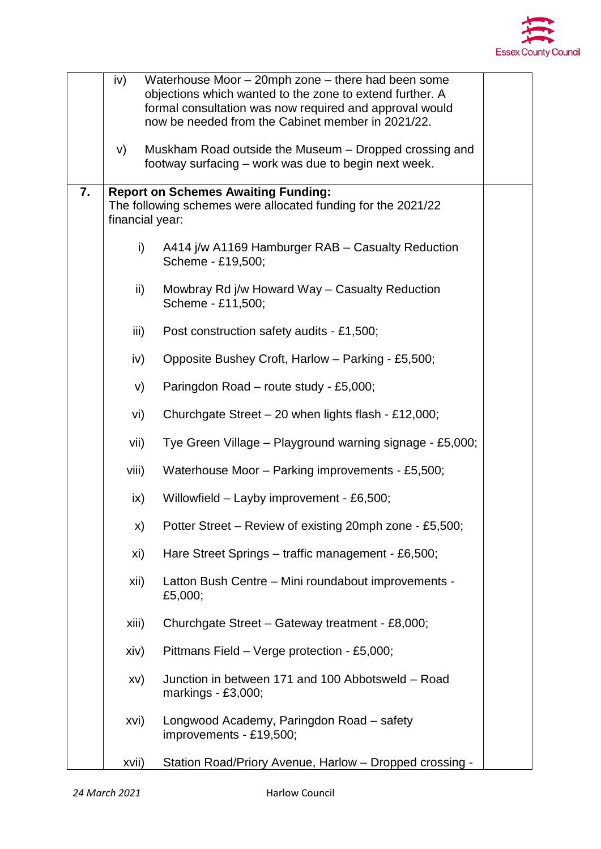

|    | iv)<br>Waterhouse Moor - 20mph zone - there had been some<br>objections which wanted to the zone to extend further. A<br>formal consultation was now required and approval would<br>now be needed from the Cabinet member in 2021/22. |                                                                                                                |  |
|----|---------------------------------------------------------------------------------------------------------------------------------------------------------------------------------------------------------------------------------------|----------------------------------------------------------------------------------------------------------------|--|
|    | V)                                                                                                                                                                                                                                    | Muskham Road outside the Museum – Dropped crossing and<br>footway surfacing – work was due to begin next week. |  |
| 7. | <b>Report on Schemes Awaiting Funding:</b><br>The following schemes were allocated funding for the 2021/22<br>financial year:                                                                                                         |                                                                                                                |  |
|    | $\mathsf{i}$                                                                                                                                                                                                                          | A414 j/w A1169 Hamburger RAB - Casualty Reduction<br>Scheme - £19,500;                                         |  |
|    | ii)                                                                                                                                                                                                                                   | Mowbray Rd j/w Howard Way - Casualty Reduction<br>Scheme - £11,500;                                            |  |
|    | iii)                                                                                                                                                                                                                                  | Post construction safety audits - £1,500;                                                                      |  |
|    | iv)                                                                                                                                                                                                                                   | Opposite Bushey Croft, Harlow - Parking - £5,500;                                                              |  |
|    | V)                                                                                                                                                                                                                                    | Paringdon Road - route study - £5,000;                                                                         |  |
|    | vi)                                                                                                                                                                                                                                   | Churchgate Street - 20 when lights flash - £12,000;                                                            |  |
|    | vii)                                                                                                                                                                                                                                  | Tye Green Village - Playground warning signage - £5,000;                                                       |  |
|    | viii)                                                                                                                                                                                                                                 | Waterhouse Moor - Parking improvements - £5,500;                                                               |  |
|    | $\mathsf{ix}$                                                                                                                                                                                                                         | Willowfield - Layby improvement - £6,500;                                                                      |  |
|    | X)                                                                                                                                                                                                                                    | Potter Street – Review of existing 20mph zone - £5,500;                                                        |  |
|    | xi)                                                                                                                                                                                                                                   | Hare Street Springs - traffic management - £6,500;                                                             |  |
|    | xii)                                                                                                                                                                                                                                  | Latton Bush Centre - Mini roundabout improvements -<br>£5,000;                                                 |  |
|    | xiii)                                                                                                                                                                                                                                 | Churchgate Street - Gateway treatment - £8,000;                                                                |  |
|    | xiv)                                                                                                                                                                                                                                  | Pittmans Field - Verge protection - £5,000;                                                                    |  |
|    | XV)                                                                                                                                                                                                                                   | Junction in between 171 and 100 Abbotsweld - Road<br>markings - £3,000;                                        |  |
|    | xvi)                                                                                                                                                                                                                                  | Longwood Academy, Paringdon Road - safety<br>improvements - £19,500;                                           |  |
|    | xvii)                                                                                                                                                                                                                                 | Station Road/Priory Avenue, Harlow - Dropped crossing -                                                        |  |